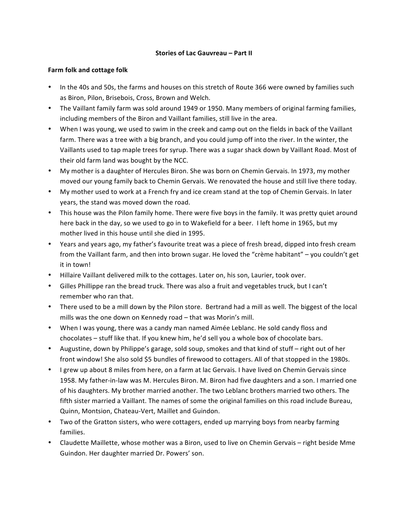#### **Stories of Lac Gauvreau – Part II**

#### **Farm** folk and cottage folk

- In the 40s and 50s, the farms and houses on this stretch of Route 366 were owned by families such as Biron, Pilon, Brisebois, Cross, Brown and Welch.
- The Vaillant family farm was sold around 1949 or 1950. Many members of original farming families, including members of the Biron and Vaillant families, still live in the area.
- When I was young, we used to swim in the creek and camp out on the fields in back of the Vaillant farm. There was a tree with a big branch, and you could jump off into the river. In the winter, the Vaillants used to tap maple trees for syrup. There was a sugar shack down by Vaillant Road. Most of their old farm land was bought by the NCC.
- My mother is a daughter of Hercules Biron. She was born on Chemin Gervais. In 1973, my mother moved our young family back to Chemin Gervais. We renovated the house and still live there today.
- My mother used to work at a French fry and ice cream stand at the top of Chemin Gervais. In later years, the stand was moved down the road.
- This house was the Pilon family home. There were five boys in the family. It was pretty quiet around here back in the day, so we used to go in to Wakefield for a beer. I left home in 1965, but my mother lived in this house until she died in 1995.
- Years and years ago, my father's favourite treat was a piece of fresh bread, dipped into fresh cream from the Vaillant farm, and then into brown sugar. He loved the "crème habitant" – you couldn't get it in town!
- Hillaire Vaillant delivered milk to the cottages. Later on, his son, Laurier, took over.
- Gilles Phillippe ran the bread truck. There was also a fruit and vegetables truck, but I can't remember who ran that.
- There used to be a mill down by the Pilon store. Bertrand had a mill as well. The biggest of the local mills was the one down on Kennedy road – that was Morin's mill.
- When I was young, there was a candy man named Aimée Leblanc. He sold candy floss and chocolates - stuff like that. If you knew him, he'd sell you a whole box of chocolate bars.
- Augustine, down by Philippe's garage, sold soup, smokes and that kind of stuff right out of her front window! She also sold \$5 bundles of firewood to cottagers. All of that stopped in the 1980s.
- I grew up about 8 miles from here, on a farm at lac Gervais. I have lived on Chemin Gervais since 1958. My father-in-law was M. Hercules Biron. M. Biron had five daughters and a son. I married one of his daughters. My brother married another. The two Leblanc brothers married two others. The fifth sister married a Vaillant. The names of some the original families on this road include Bureau, Quinn, Montsion, Chateau-Vert, Maillet and Guindon.
- Two of the Gratton sisters, who were cottagers, ended up marrying boys from nearby farming families.
- Claudette Maillette, whose mother was a Biron, used to live on Chemin Gervais right beside Mme Guindon. Her daughter married Dr. Powers' son.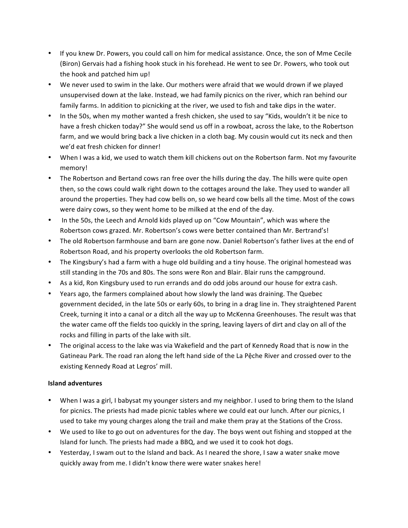- If you knew Dr. Powers, you could call on him for medical assistance. Once, the son of Mme Cecile (Biron) Gervais had a fishing hook stuck in his forehead. He went to see Dr. Powers, who took out the hook and patched him up!
- We never used to swim in the lake. Our mothers were afraid that we would drown if we played unsupervised down at the lake. Instead, we had family picnics on the river, which ran behind our family farms. In addition to picnicking at the river, we used to fish and take dips in the water.
- In the 50s, when my mother wanted a fresh chicken, she used to say "Kids, wouldn't it be nice to have a fresh chicken today?" She would send us off in a rowboat, across the lake, to the Robertson farm, and we would bring back a live chicken in a cloth bag. My cousin would cut its neck and then we'd eat fresh chicken for dinner!
- When I was a kid, we used to watch them kill chickens out on the Robertson farm. Not my favourite memory!
- The Robertson and Bertand cows ran free over the hills during the day. The hills were quite open then, so the cows could walk right down to the cottages around the lake. They used to wander all around the properties. They had cow bells on, so we heard cow bells all the time. Most of the cows were dairy cows, so they went home to be milked at the end of the day.
- In the 50s, the Leech and Arnold kids played up on "Cow Mountain", which was where the Robertson cows grazed. Mr. Robertson's cows were better contained than Mr. Bertrand's!
- The old Robertson farmhouse and barn are gone now. Daniel Robertson's father lives at the end of Robertson Road, and his property overlooks the old Robertson farm.
- The Kingsbury's had a farm with a huge old building and a tiny house. The original homestead was still standing in the 70s and 80s. The sons were Ron and Blair. Blair runs the campground.
- As a kid, Ron Kingsbury used to run errands and do odd jobs around our house for extra cash.
- Years ago, the farmers complained about how slowly the land was draining. The Quebec government decided, in the late 50s or early 60s, to bring in a drag line in. They straightened Parent Creek, turning it into a canal or a ditch all the way up to McKenna Greenhouses. The result was that the water came off the fields too quickly in the spring, leaving layers of dirt and clay on all of the rocks and filling in parts of the lake with silt.
- The original access to the lake was via Wakefield and the part of Kennedy Road that is now in the Gatineau Park. The road ran along the left hand side of the La Pệche River and crossed over to the existing Kennedy Road at Legros' mill.

# **Island adventures**

- When I was a girl, I babysat my younger sisters and my neighbor. I used to bring them to the Island for picnics. The priests had made picnic tables where we could eat our lunch. After our picnics, I used to take my young charges along the trail and make them pray at the Stations of the Cross.
- We used to like to go out on adventures for the day. The boys went out fishing and stopped at the Island for lunch. The priests had made a BBQ, and we used it to cook hot dogs.
- Yesterday, I swam out to the Island and back. As I neared the shore, I saw a water snake move quickly away from me. I didn't know there were water snakes here!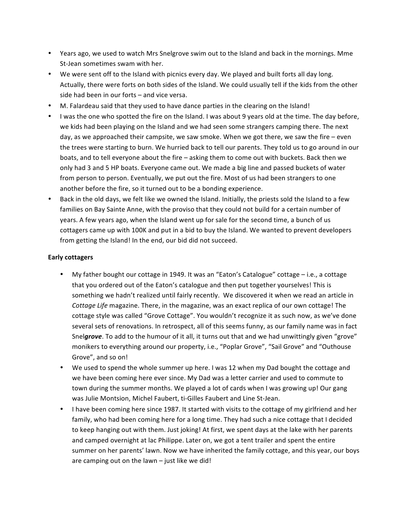- Years ago, we used to watch Mrs Snelgrove swim out to the Island and back in the mornings. Mme St-Jean sometimes swam with her.
- We were sent off to the Island with picnics every day. We played and built forts all day long. Actually, there were forts on both sides of the Island. We could usually tell if the kids from the other side had been in our forts  $-$  and vice versa.
- M. Falardeau said that they used to have dance parties in the clearing on the Island!
- I was the one who spotted the fire on the Island. I was about 9 years old at the time. The day before, we kids had been playing on the Island and we had seen some strangers camping there. The next day, as we approached their campsite, we saw smoke. When we got there, we saw the fire  $-$  even the trees were starting to burn. We hurried back to tell our parents. They told us to go around in our boats, and to tell everyone about the fire – asking them to come out with buckets. Back then we only had 3 and 5 HP boats. Everyone came out. We made a big line and passed buckets of water from person to person. Eventually, we put out the fire. Most of us had been strangers to one another before the fire, so it turned out to be a bonding experience.
- Back in the old days, we felt like we owned the Island. Initially, the priests sold the Island to a few families on Bay Sainte Anne, with the proviso that they could not build for a certain number of years. A few years ago, when the Island went up for sale for the second time, a bunch of us cottagers came up with 100K and put in a bid to buy the Island. We wanted to prevent developers from getting the Island! In the end, our bid did not succeed.

#### **Early cottagers**

- My father bought our cottage in 1949. It was an "Eaton's Catalogue" cottage  $-$  i.e., a cottage that you ordered out of the Eaton's catalogue and then put together yourselves! This is something we hadn't realized until fairly recently. We discovered it when we read an article in *Cottage Life* magazine. There, in the magazine, was an exact replica of our own cottage! The cottage style was called "Grove Cottage". You wouldn't recognize it as such now, as we've done several sets of renovations. In retrospect, all of this seems funny, as our family name was in fact Snelgrove. To add to the humour of it all, it turns out that and we had unwittingly given "grove" monikers to everything around our property, i.e., "Poplar Grove", "Sail Grove" and "Outhouse Grove", and so on!
- We used to spend the whole summer up here. I was 12 when my Dad bought the cottage and we have been coming here ever since. My Dad was a letter carrier and used to commute to town during the summer months. We played a lot of cards when I was growing up! Our gang was Julie Montsion, Michel Faubert, ti-Gilles Faubert and Line St-Jean.
- I have been coming here since 1987. It started with visits to the cottage of my girlfriend and her family, who had been coming here for a long time. They had such a nice cottage that I decided to keep hanging out with them. Just joking! At first, we spent days at the lake with her parents and camped overnight at lac Philippe. Later on, we got a tent trailer and spent the entire summer on her parents' lawn. Now we have inherited the family cottage, and this year, our boys are camping out on the lawn  $-$  just like we did!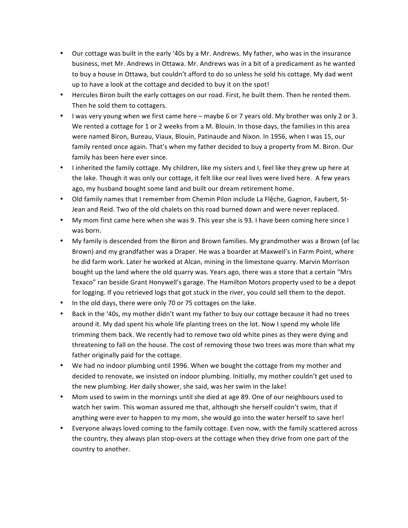- Our cottage was built in the early '40s by a Mr. Andrews. My father, who was in the insurance business, met Mr. Andrews in Ottawa. Mr. Andrews was in a bit of a predicament as he wanted to buy a house in Ottawa, but couldn't afford to do so unless he sold his cottage. My dad went up to have a look at the cottage and decided to buy it on the spot!
- Hercules Biron built the early cottages on our road. First, he built them. Then he rented them. Then he sold them to cottagers.
- I was very young when we first came here maybe 6 or 7 years old. My brother was only 2 or 3. We rented a cottage for 1 or 2 weeks from a M. Blouin. In those days, the families in this area were named Biron, Bureau, Viaux, Blouin, Patinaude and Nixon. In 1956, when I was 15, our family rented once again. That's when my father decided to buy a property from M. Biron. Our family has been here ever since.
- I inherited the family cottage. My children, like my sisters and I, feel like they grew up here at the lake. Though it was only our cottage, it felt like our real lives were lived here. A few years ago, my husband bought some land and built our dream retirement home.
- Old family names that I remember from Chemin Pilon include La Flêche, Gagnon, Faubert, St-Jean and Reid. Two of the old chalets on this road burned down and were never replaced.
- My mom first came here when she was 9. This year she is 93. I have been coming here since I was born.
- My family is descended from the Biron and Brown families. My grandmother was a Brown (of lac Brown) and my grandfather was a Draper. He was a boarder at Maxwell's in Farm Point, where he did farm work. Later he worked at Alcan, mining in the limestone quarry. Marvin Morrison bought up the land where the old quarry was. Years ago, there was a store that a certain "Mrs Texaco" ran beside Grant Honywell's garage. The Hamilton Motors property used to be a depot for logging. If you retrieved logs that got stuck in the river, you could sell them to the depot.
- In the old days, there were only 70 or 75 cottages on the lake.
- Back in the '40s, my mother didn't want my father to buy our cottage because it had no trees around it. My dad spent his whole life planting trees on the lot. Now I spend my whole life trimming them back. We recently had to remove two old white pines as they were dying and threatening to fall on the house. The cost of removing those two trees was more than what my father originally paid for the cottage.
- We had no indoor plumbing until 1996. When we bought the cottage from my mother and decided to renovate, we insisted on indoor plumbing. Initially, my mother couldn't get used to the new plumbing. Her daily shower, she said, was her swim in the lake!
- Mom used to swim in the mornings until she died at age 89. One of our neighbours used to watch her swim. This woman assured me that, although she herself couldn't swim, that if anything were ever to happen to my mom, she would go into the water herself to save her!
- Everyone always loved coming to the family cottage. Even now, with the family scattered across the country, they always plan stop-overs at the cottage when they drive from one part of the country to another.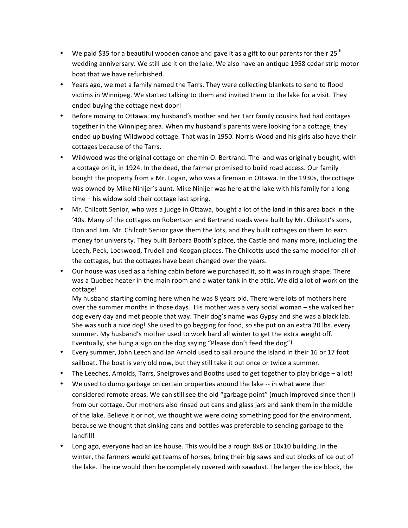- We paid \$35 for a beautiful wooden canoe and gave it as a gift to our parents for their 25<sup>th</sup> wedding anniversary. We still use it on the lake. We also have an antique 1958 cedar strip motor boat that we have refurbished.
- Years ago, we met a family named the Tarrs. They were collecting blankets to send to flood victims in Winnipeg. We started talking to them and invited them to the lake for a visit. They ended buying the cottage next door!
- Before moving to Ottawa, my husband's mother and her Tarr family cousins had had cottages together in the Winnipeg area. When my husband's parents were looking for a cottage, they ended up buying Wildwood cottage. That was in 1950. Norris Wood and his girls also have their cottages because of the Tarrs.
- Wildwood was the original cottage on chemin O. Bertrand. The land was originally bought, with a cottage on it, in 1924. In the deed, the farmer promised to build road access. Our family bought the property from a Mr. Logan, who was a fireman in Ottawa. In the 1930s, the cottage was owned by Mike Ninijer's aunt. Mike Ninijer was here at the lake with his family for a long  $time - his$  widow sold their cottage last spring.
- Mr. Chilcott Senior, who was a judge in Ottawa, bought a lot of the land in this area back in the '40s. Many of the cottages on Robertson and Bertrand roads were built by Mr. Chilcott's sons, Don and Jim. Mr. Chilcott Senior gave them the lots, and they built cottages on them to earn money for university. They built Barbara Booth's place, the Castle and many more, including the Leech, Peck, Lockwood, Trudell and Keogan places. The Chilcotts used the same model for all of the cottages, but the cottages have been changed over the years.
- Our house was used as a fishing cabin before we purchased it, so it was in rough shape. There was a Quebec heater in the main room and a water tank in the attic. We did a lot of work on the cottage!

My husband starting coming here when he was 8 years old. There were lots of mothers here over the summer months in those days. His mother was a very social woman - she walked her dog every day and met people that way. Their dog's name was Gypsy and she was a black lab. She was such a nice dog! She used to go begging for food, so she put on an extra 20 lbs. every summer. My husband's mother used to work hard all winter to get the extra weight off. Eventually, she hung a sign on the dog saying "Please don't feed the dog"!

- Every summer, John Leech and Ian Arnold used to sail around the Island in their 16 or 17 foot sailboat. The boat is very old now, but they still take it out once or twice a summer.
- The Leeches, Arnolds, Tarrs, Snelgroves and Booths used to get together to play bridge a lot!
- We used to dump garbage on certain properties around the lake -- in what were then considered remote areas. We can still see the old "garbage point" (much improved since then!) from our cottage. Our mothers also rinsed out cans and glass jars and sank them in the middle of the lake. Believe it or not, we thought we were doing something good for the environment, because we thought that sinking cans and bottles was preferable to sending garbage to the landfill!
- Long ago, everyone had an ice house. This would be a rough 8x8 or 10x10 building. In the winter, the farmers would get teams of horses, bring their big saws and cut blocks of ice out of the lake. The ice would then be completely covered with sawdust. The larger the ice block, the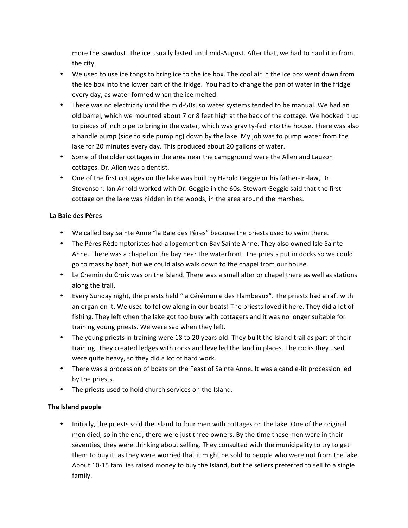more the sawdust. The ice usually lasted until mid-August. After that, we had to haul it in from the city.

- We used to use ice tongs to bring ice to the ice box. The cool air in the ice box went down from the ice box into the lower part of the fridge. You had to change the pan of water in the fridge every day, as water formed when the ice melted.
- There was no electricity until the mid-50s, so water systems tended to be manual. We had an old barrel, which we mounted about 7 or 8 feet high at the back of the cottage. We hooked it up to pieces of inch pipe to bring in the water, which was gravity-fed into the house. There was also a handle pump (side to side pumping) down by the lake. My job was to pump water from the lake for 20 minutes every day. This produced about 20 gallons of water.
- Some of the older cottages in the area near the campground were the Allen and Lauzon cottages. Dr. Allen was a dentist.
- One of the first cottages on the lake was built by Harold Geggie or his father-in-law, Dr. Stevenson. Ian Arnold worked with Dr. Geggie in the 60s. Stewart Geggie said that the first cottage on the lake was hidden in the woods, in the area around the marshes.

### **La Baie des Pères**

- We called Bay Sainte Anne "la Baie des Pères" because the priests used to swim there.
- The Pères Rédemptoristes had a logement on Bay Sainte Anne. They also owned Isle Sainte Anne. There was a chapel on the bay near the waterfront. The priests put in docks so we could go to mass by boat, but we could also walk down to the chapel from our house.
- Le Chemin du Croix was on the Island. There was a small alter or chapel there as well as stations along the trail.
- Every Sunday night, the priests held "la Cérémonie des Flambeaux". The priests had a raft with an organ on it. We used to follow along in our boats! The priests loved it here. They did a lot of fishing. They left when the lake got too busy with cottagers and it was no longer suitable for training young priests. We were sad when they left.
- The young priests in training were 18 to 20 years old. They built the Island trail as part of their training. They created ledges with rocks and levelled the land in places. The rocks they used were quite heavy, so they did a lot of hard work.
- There was a procession of boats on the Feast of Sainte Anne. It was a candle-lit procession led by the priests.
- The priests used to hold church services on the Island.

# **The Island people**

• Initially, the priests sold the Island to four men with cottages on the lake. One of the original men died, so in the end, there were just three owners. By the time these men were in their seventies, they were thinking about selling. They consulted with the municipality to try to get them to buy it, as they were worried that it might be sold to people who were not from the lake. About 10-15 families raised money to buy the Island, but the sellers preferred to sell to a single family.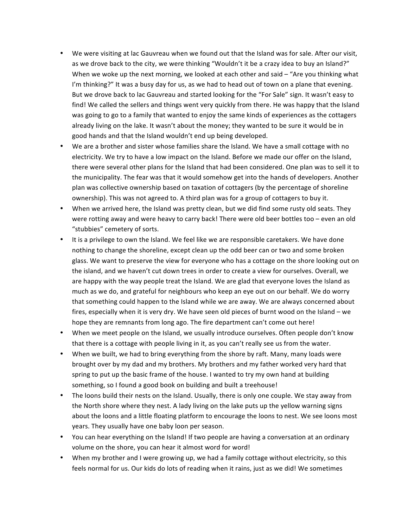- We were visiting at lac Gauvreau when we found out that the Island was for sale. After our visit, as we drove back to the city, we were thinking "Wouldn't it be a crazy idea to buy an Island?" When we woke up the next morning, we looked at each other and said  $-$  "Are you thinking what I'm thinking?" It was a busy day for us, as we had to head out of town on a plane that evening. But we drove back to lac Gauvreau and started looking for the "For Sale" sign. It wasn't easy to find! We called the sellers and things went very quickly from there. He was happy that the Island was going to go to a family that wanted to enjoy the same kinds of experiences as the cottagers already living on the lake. It wasn't about the money; they wanted to be sure it would be in good hands and that the Island wouldn't end up being developed.
- We are a brother and sister whose families share the Island. We have a small cottage with no electricity. We try to have a low impact on the Island. Before we made our offer on the Island, there were several other plans for the Island that had been considered. One plan was to sell it to the municipality. The fear was that it would somehow get into the hands of developers. Another plan was collective ownership based on taxation of cottagers (by the percentage of shoreline ownership). This was not agreed to. A third plan was for a group of cottagers to buy it.
- When we arrived here, the Island was pretty clean, but we did find some rusty old seats. They were rotting away and were heavy to carry back! There were old beer bottles too - even an old "stubbies" cemetery of sorts.
- It is a privilege to own the Island. We feel like we are responsible caretakers. We have done nothing to change the shoreline, except clean up the odd beer can or two and some broken glass. We want to preserve the view for everyone who has a cottage on the shore looking out on the island, and we haven't cut down trees in order to create a view for ourselves. Overall, we are happy with the way people treat the Island. We are glad that everyone loves the Island as much as we do, and grateful for neighbours who keep an eye out on our behalf. We do worry that something could happen to the Island while we are away. We are always concerned about fires, especially when it is very dry. We have seen old pieces of burnt wood on the Island – we hope they are remnants from long ago. The fire department can't come out here!
- When we meet people on the Island, we usually introduce ourselves. Often people don't know that there is a cottage with people living in it, as you can't really see us from the water.
- When we built, we had to bring everything from the shore by raft. Many, many loads were brought over by my dad and my brothers. My brothers and my father worked very hard that spring to put up the basic frame of the house. I wanted to try my own hand at building something, so I found a good book on building and built a treehouse!
- The loons build their nests on the Island. Usually, there is only one couple. We stay away from the North shore where they nest. A lady living on the lake puts up the yellow warning signs about the loons and a little floating platform to encourage the loons to nest. We see loons most years. They usually have one baby loon per season.
- You can hear everything on the Island! If two people are having a conversation at an ordinary volume on the shore, you can hear it almost word for word!
- When my brother and I were growing up, we had a family cottage without electricity, so this feels normal for us. Our kids do lots of reading when it rains, just as we did! We sometimes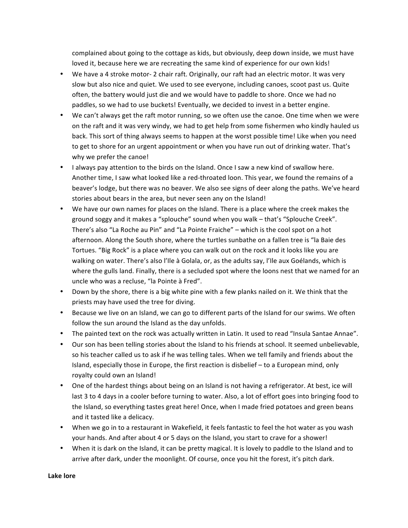complained about going to the cottage as kids, but obviously, deep down inside, we must have loved it, because here we are recreating the same kind of experience for our own kids!

- We have a 4 stroke motor- 2 chair raft. Originally, our raft had an electric motor. It was very slow but also nice and quiet. We used to see everyone, including canoes, scoot past us. Quite often, the battery would just die and we would have to paddle to shore. Once we had no paddles, so we had to use buckets! Eventually, we decided to invest in a better engine.
- We can't always get the raft motor running, so we often use the canoe. One time when we were on the raft and it was very windy, we had to get help from some fishermen who kindly hauled us back. This sort of thing always seems to happen at the worst possible time! Like when you need to get to shore for an urgent appointment or when you have run out of drinking water. That's why we prefer the canoe!
- I always pay attention to the birds on the Island. Once I saw a new kind of swallow here. Another time, I saw what looked like a red-throated loon. This year, we found the remains of a beaver's lodge, but there was no beaver. We also see signs of deer along the paths. We've heard stories about bears in the area, but never seen any on the Island!
- We have our own names for places on the Island. There is a place where the creek makes the ground soggy and it makes a "splouche" sound when you walk - that's "Splouche Creek". There's also "La Roche au Pin" and "La Pointe Fraiche" – which is the cool spot on a hot afternoon. Along the South shore, where the turtles sunbathe on a fallen tree is "la Baie des Tortues. "Big Rock" is a place where you can walk out on the rock and it looks like you are walking on water. There's also l'Ile à Golala, or, as the adults say, l'Ile aux Goélands, which is where the gulls land. Finally, there is a secluded spot where the loons nest that we named for an uncle who was a recluse, "la Pointe à Fred".
- Down by the shore, there is a big white pine with a few planks nailed on it. We think that the priests may have used the tree for diving.
- Because we live on an Island, we can go to different parts of the Island for our swims. We often follow the sun around the Island as the day unfolds.
- The painted text on the rock was actually written in Latin. It used to read "Insula Santae Annae".
- Our son has been telling stories about the Island to his friends at school. It seemed unbelievable, so his teacher called us to ask if he was telling tales. When we tell family and friends about the Island, especially those in Europe, the first reaction is disbelief  $-$  to a European mind, only royalty could own an Island!
- One of the hardest things about being on an Island is not having a refrigerator. At best, ice will last 3 to 4 days in a cooler before turning to water. Also, a lot of effort goes into bringing food to the Island, so everything tastes great here! Once, when I made fried potatoes and green beans and it tasted like a delicacy.
- When we go in to a restaurant in Wakefield, it feels fantastic to feel the hot water as you wash your hands. And after about 4 or 5 days on the Island, you start to crave for a shower!
- When it is dark on the Island, it can be pretty magical. It is lovely to paddle to the Island and to arrive after dark, under the moonlight. Of course, once you hit the forest, it's pitch dark.

**Lake lore**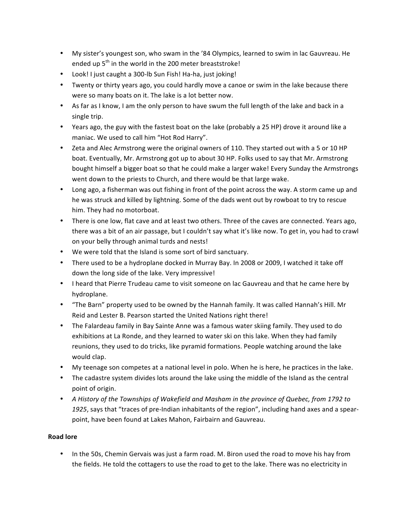- My sister's youngest son, who swam in the '84 Olympics, learned to swim in lac Gauvreau. He ended up  $5<sup>th</sup>$  in the world in the 200 meter breaststroke!
- Look! I just caught a 300-lb Sun Fish! Ha-ha, just joking!
- Twenty or thirty years ago, you could hardly move a canoe or swim in the lake because there were so many boats on it. The lake is a lot better now.
- As far as I know, I am the only person to have swum the full length of the lake and back in a single trip.
- Years ago, the guy with the fastest boat on the lake (probably a 25 HP) drove it around like a maniac. We used to call him "Hot Rod Harry".
- Zeta and Alec Armstrong were the original owners of 110. They started out with a 5 or 10 HP boat. Eventually, Mr. Armstrong got up to about 30 HP. Folks used to say that Mr. Armstrong bought himself a bigger boat so that he could make a larger wake! Every Sunday the Armstrongs went down to the priests to Church, and there would be that large wake.
- Long ago, a fisherman was out fishing in front of the point across the way. A storm came up and he was struck and killed by lightning. Some of the dads went out by rowboat to try to rescue him. They had no motorboat.
- There is one low, flat cave and at least two others. Three of the caves are connected. Years ago, there was a bit of an air passage, but I couldn't say what it's like now. To get in, you had to crawl on your belly through animal turds and nests!
- We were told that the Island is some sort of bird sanctuary.
- There used to be a hydroplane docked in Murray Bay. In 2008 or 2009, I watched it take off down the long side of the lake. Very impressive!
- I heard that Pierre Trudeau came to visit someone on lac Gauvreau and that he came here by hydroplane.
- "The Barn" property used to be owned by the Hannah family. It was called Hannah's Hill. Mr Reid and Lester B. Pearson started the United Nations right there!
- The Falardeau family in Bay Sainte Anne was a famous water skiing family. They used to do exhibitions at La Ronde, and they learned to water ski on this lake. When they had family reunions, they used to do tricks, like pyramid formations. People watching around the lake would clap.
- My teenage son competes at a national level in polo. When he is here, he practices in the lake.
- The cadastre system divides lots around the lake using the middle of the Island as the central point of origin.
- A History of the Townships of Wakefield and Masham in the province of Quebec, from 1792 to 1925, says that "traces of pre-Indian inhabitants of the region", including hand axes and a spearpoint, have been found at Lakes Mahon, Fairbairn and Gauvreau.

# **Road lore**

• In the 50s, Chemin Gervais was just a farm road. M. Biron used the road to move his hay from the fields. He told the cottagers to use the road to get to the lake. There was no electricity in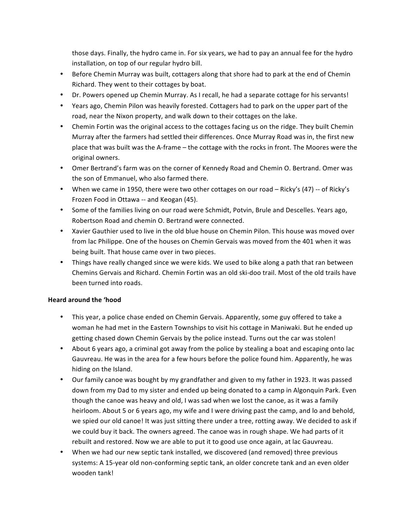those days. Finally, the hydro came in. For six years, we had to pay an annual fee for the hydro installation, on top of our regular hydro bill.

- Before Chemin Murray was built, cottagers along that shore had to park at the end of Chemin Richard. They went to their cottages by boat.
- Dr. Powers opened up Chemin Murray. As I recall, he had a separate cottage for his servants!
- Years ago, Chemin Pilon was heavily forested. Cottagers had to park on the upper part of the road, near the Nixon property, and walk down to their cottages on the lake.
- Chemin Fortin was the original access to the cottages facing us on the ridge. They built Chemin Murray after the farmers had settled their differences. Once Murray Road was in, the first new place that was built was the A-frame – the cottage with the rocks in front. The Moores were the original owners.
- Omer Bertrand's farm was on the corner of Kennedy Road and Chemin O. Bertrand. Omer was the son of Emmanuel, who also farmed there.
- When we came in 1950, there were two other cottages on our road Ricky's (47) -- of Ricky's Frozen Food in Ottawa -- and Keogan (45).
- Some of the families living on our road were Schmidt, Potvin, Brule and Descelles. Years ago, Robertson Road and chemin O. Bertrand were connected.
- Xavier Gauthier used to live in the old blue house on Chemin Pilon. This house was moved over from lac Philippe. One of the houses on Chemin Gervais was moved from the 401 when it was being built. That house came over in two pieces.
- Things have really changed since we were kids. We used to bike along a path that ran between Chemins Gervais and Richard. Chemin Fortin was an old ski-doo trail. Most of the old trails have been turned into roads.

#### **Heard around the 'hood**

- This year, a police chase ended on Chemin Gervais. Apparently, some guy offered to take a woman he had met in the Eastern Townships to visit his cottage in Maniwaki. But he ended up getting chased down Chemin Gervais by the police instead. Turns out the car was stolen!
- About 6 years ago, a criminal got away from the police by stealing a boat and escaping onto lac Gauvreau. He was in the area for a few hours before the police found him. Apparently, he was hiding on the Island.
- Our family canoe was bought by my grandfather and given to my father in 1923. It was passed down from my Dad to my sister and ended up being donated to a camp in Algonquin Park. Even though the canoe was heavy and old, I was sad when we lost the canoe, as it was a family heirloom. About 5 or 6 years ago, my wife and I were driving past the camp, and lo and behold, we spied our old canoe! It was just sitting there under a tree, rotting away. We decided to ask if we could buy it back. The owners agreed. The canoe was in rough shape. We had parts of it rebuilt and restored. Now we are able to put it to good use once again, at lac Gauvreau.
- When we had our new septic tank installed, we discovered (and removed) three previous systems: A 15-year old non-conforming septic tank, an older concrete tank and an even older wooden tank!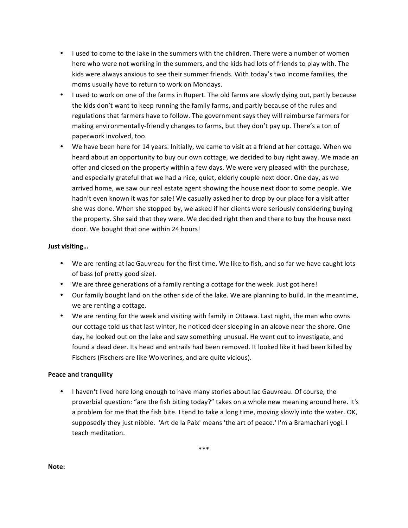- I used to come to the lake in the summers with the children. There were a number of women here who were not working in the summers, and the kids had lots of friends to play with. The kids were always anxious to see their summer friends. With today's two income families, the moms usually have to return to work on Mondays.
- I used to work on one of the farms in Rupert. The old farms are slowly dying out, partly because the kids don't want to keep running the family farms, and partly because of the rules and regulations that farmers have to follow. The government says they will reimburse farmers for making environmentally-friendly changes to farms, but they don't pay up. There's a ton of paperwork involved, too.
- We have been here for 14 years. Initially, we came to visit at a friend at her cottage. When we heard about an opportunity to buy our own cottage, we decided to buy right away. We made an offer and closed on the property within a few days. We were very pleased with the purchase, and especially grateful that we had a nice, quiet, elderly couple next door. One day, as we arrived home, we saw our real estate agent showing the house next door to some people. We hadn't even known it was for sale! We casually asked her to drop by our place for a visit after she was done. When she stopped by, we asked if her clients were seriously considering buying the property. She said that they were. We decided right then and there to buy the house next door. We bought that one within 24 hours!

### **Just visiting…**

- We are renting at lac Gauvreau for the first time. We like to fish, and so far we have caught lots of bass (of pretty good size).
- We are three generations of a family renting a cottage for the week. Just got here!
- Our family bought land on the other side of the lake. We are planning to build. In the meantime, we are renting a cottage.
- We are renting for the week and visiting with family in Ottawa. Last night, the man who owns our cottage told us that last winter, he noticed deer sleeping in an alcove near the shore. One day, he looked out on the lake and saw something unusual. He went out to investigate, and found a dead deer. Its head and entrails had been removed. It looked like it had been killed by Fischers (Fischers are like Wolverines, and are quite vicious).

# **Peace and tranquility**

• I haven't lived here long enough to have many stories about lac Gauvreau. Of course, the proverbial question: "are the fish biting today?" takes on a whole new meaning around here. It's a problem for me that the fish bite. I tend to take a long time, moving slowly into the water. OK, supposedly they just nibble. 'Art de la Paix' means 'the art of peace.' I'm a Bramachari yogi. I teach meditation. 

**Note:**